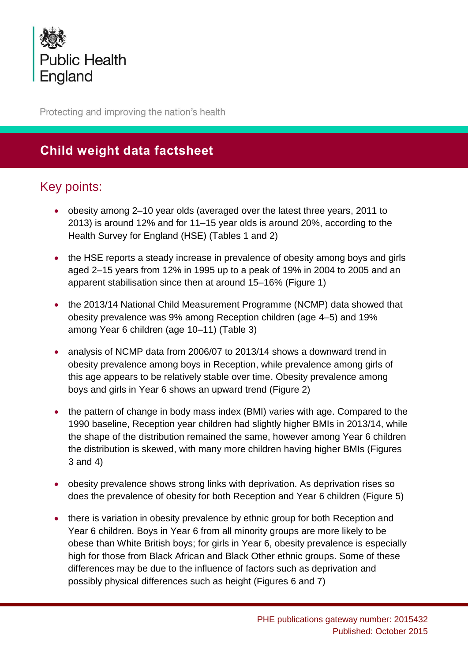

Protecting and improving the nation's health

# **Child weight data factsheet**

## Key points:

- obesity among 2–10 year olds (averaged over the latest three years, 2011 to 2013) is around 12% and for 11–15 year olds is around 20%, according to the Health Survey for England (HSE) (Tables 1 and 2)
- the HSE reports a steady increase in prevalence of obesity among boys and girls aged 2–15 years from 12% in 1995 up to a peak of 19% in 2004 to 2005 and an apparent stabilisation since then at around 15–16% (Figure 1)
- the 2013/14 National Child Measurement Programme (NCMP) data showed that obesity prevalence was 9% among Reception children (age 4–5) and 19% among Year 6 children (age 10–11) (Table 3)
- analysis of NCMP data from 2006/07 to 2013/14 shows a downward trend in obesity prevalence among boys in Reception, while prevalence among girls of this age appears to be relatively stable over time. Obesity prevalence among boys and girls in Year 6 shows an upward trend (Figure 2)
- the pattern of change in body mass index (BMI) varies with age. Compared to the 1990 baseline, Reception year children had slightly higher BMIs in 2013/14, while the shape of the distribution remained the same, however among Year 6 children the distribution is skewed, with many more children having higher BMIs (Figures 3 and 4)
- obesity prevalence shows strong links with deprivation. As deprivation rises so does the prevalence of obesity for both Reception and Year 6 children (Figure 5)
- there is variation in obesity prevalence by ethnic group for both Reception and Year 6 children. Boys in Year 6 from all minority groups are more likely to be obese than White British boys; for girls in Year 6, obesity prevalence is especially high for those from Black African and Black Other ethnic groups. Some of these differences may be due to the influence of factors such as deprivation and possibly physical differences such as height (Figures 6 and 7)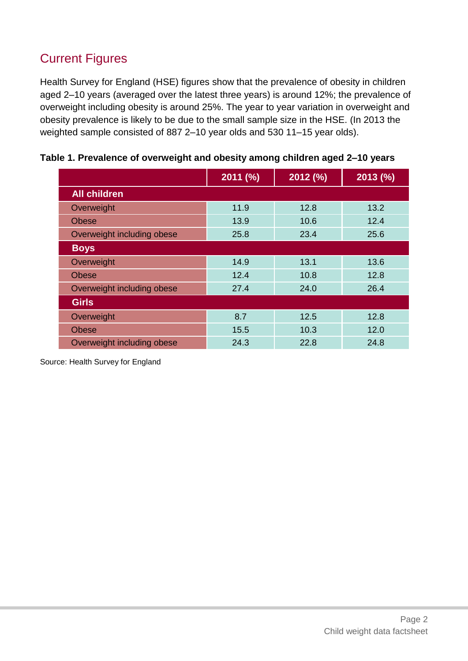# Current Figures

Health Survey for England (HSE) figures show that the prevalence of obesity in children aged 2–10 years (averaged over the latest three years) is around 12%; the prevalence of overweight including obesity is around 25%. The year to year variation in overweight and obesity prevalence is likely to be due to the small sample size in the HSE. (In 2013 the weighted sample consisted of 887 2–10 year olds and 530 11–15 year olds).

|                            | 2011 (%) | 2012 (%) | 2013(%) |
|----------------------------|----------|----------|---------|
| <b>All children</b>        |          |          |         |
| Overweight                 | 11.9     | 12.8     | 13.2    |
| <b>Obese</b>               | 13.9     | 10.6     | 12.4    |
| Overweight including obese | 25.8     | 23.4     | 25.6    |
| <b>Boys</b>                |          |          |         |
| Overweight                 | 14.9     | 13.1     | 13.6    |
| <b>Obese</b>               | 12.4     | 10.8     | 12.8    |
| Overweight including obese | 27.4     | 24.0     | 26.4    |
| <b>Girls</b>               |          |          |         |
| Overweight                 | 8.7      | 12.5     | 12.8    |
| <b>Obese</b>               | 15.5     | 10.3     | 12.0    |
| Overweight including obese | 24.3     | 22.8     | 24.8    |

|  |  |  |  |  | Table 1. Prevalence of overweight and obesity among children aged 2-10 years |
|--|--|--|--|--|------------------------------------------------------------------------------|
|--|--|--|--|--|------------------------------------------------------------------------------|

Source: Health Survey for England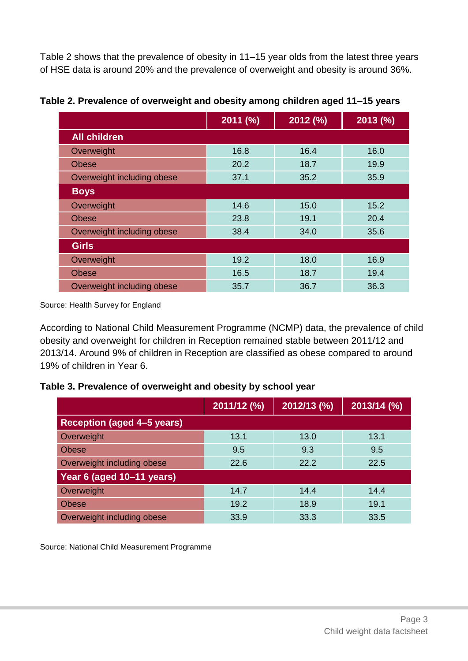Table 2 shows that the prevalence of obesity in 11–15 year olds from the latest three years of HSE data is around 20% and the prevalence of overweight and obesity is around 36%.

|                            | 2011 (%) | 2012 (%) | 2013(%) |
|----------------------------|----------|----------|---------|
| <b>All children</b>        |          |          |         |
| Overweight                 | 16.8     | 16.4     | 16.0    |
| <b>Obese</b>               | 20.2     | 18.7     | 19.9    |
| Overweight including obese | 37.1     | 35.2     | 35.9    |
| <b>Boys</b>                |          |          |         |
| Overweight                 | 14.6     | 15.0     | 15.2    |
| <b>Obese</b>               | 23.8     | 19.1     | 20.4    |
| Overweight including obese | 38.4     | 34.0     | 35.6    |
| <b>Girls</b>               |          |          |         |
| Overweight                 | 19.2     | 18.0     | 16.9    |
| <b>Obese</b>               | 16.5     | 18.7     | 19.4    |
| Overweight including obese | 35.7     | 36.7     | 36.3    |

**Table 2. Prevalence of overweight and obesity among children aged 11–15 years**

Source: Health Survey for England

According to National Child Measurement Programme (NCMP) data, the prevalence of child obesity and overweight for children in Reception remained stable between 2011/12 and 2013/14. Around 9% of children in Reception are classified as obese compared to around 19% of children in Year 6.

**Table 3. Prevalence of overweight and obesity by school year**

|                                   | 2011/12 (%) | 2012/13 (%) | 2013/14 (%) |
|-----------------------------------|-------------|-------------|-------------|
| <b>Reception (aged 4-5 years)</b> |             |             |             |
| Overweight                        | 13.1        | 13.0        | 13.1        |
| <b>Obese</b>                      | 9.5         | 9.3         | 9.5         |
| Overweight including obese        | 22.6        | 22.2        | 22.5        |
| Year 6 (aged 10-11 years)         |             |             |             |
| Overweight                        | 14.7        | 14.4        | 14.4        |
| <b>Obese</b>                      | 19.2        | 18.9        | 19.1        |
| Overweight including obese        | 33.9        | 33.3        | 33.5        |

Source: National Child Measurement Programme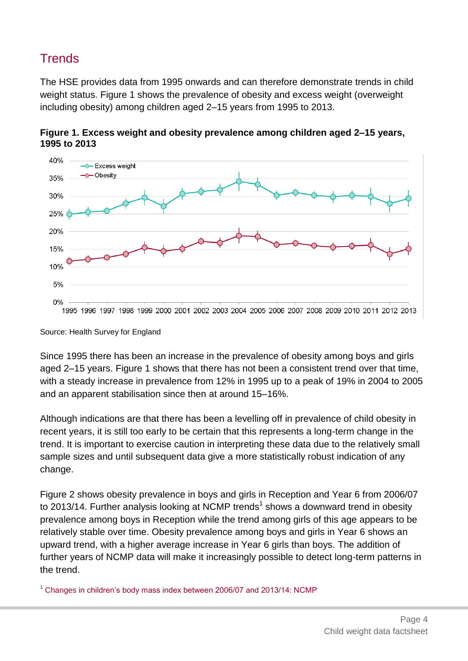# **Trends**

The HSE provides data from 1995 onwards and can therefore demonstrate trends in child weight status. Figure 1 shows the prevalence of obesity and excess weight (overweight including obesity) among children aged 2–15 years from 1995 to 2013.



**Figure 1. Excess weight and obesity prevalence among children aged 2–15 years, 1995 to 2013**

Source: Health Survey for England

Since 1995 there has been an increase in the prevalence of obesity among boys and girls aged 2–15 years. Figure 1 shows that there has not been a consistent trend over that time, with a steady increase in prevalence from 12% in 1995 up to a peak of 19% in 2004 to 2005 and an apparent stabilisation since then at around 15–16%.

Although indications are that there has been a levelling off in prevalence of child obesity in recent years, it is still too early to be certain that this represents a long-term change in the trend. It is important to exercise caution in interpreting these data due to the relatively small sample sizes and until subsequent data give a more statistically robust indication of any change.

Figure 2 shows obesity prevalence in boys and girls in Reception and Year 6 from 2006/07 to 2013/14. Further analysis looking at NCMP trends<sup>1</sup> shows a downward trend in obesity prevalence among boys in Reception while the trend among girls of this age appears to be relatively stable over time. Obesity prevalence among boys and girls in Year 6 shows an upward trend, with a higher average increase in Year 6 girls than boys. The addition of further years of NCMP data will make it increasingly possible to detect long-term patterns in the trend.

 $1$  Changes [in children's body mass index between 2006/07 and 2013/14: NCMP](http://www.noo.org.uk/NCMP/National_report)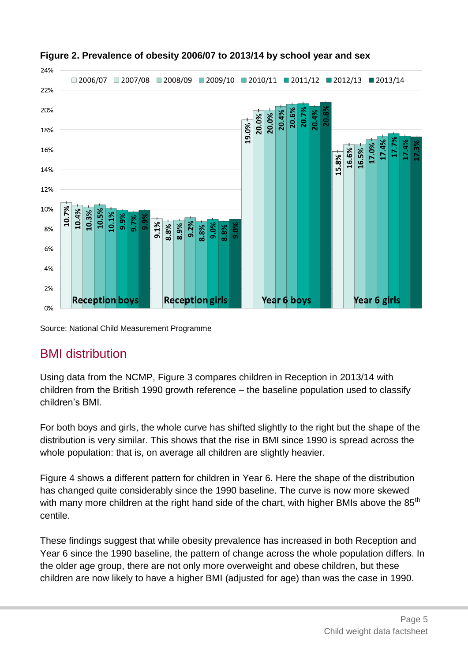

### **Figure 2. Prevalence of obesity 2006/07 to 2013/14 by school year and sex**

Source: National Child Measurement Programme

## BMI distribution

Using data from the NCMP, Figure 3 compares children in Reception in 2013/14 with children from the British 1990 growth reference – the baseline population used to classify children's BMI.

For both boys and girls, the whole curve has shifted slightly to the right but the shape of the distribution is very similar. This shows that the rise in BMI since 1990 is spread across the whole population: that is, on average all children are slightly heavier.

Figure 4 shows a different pattern for children in Year 6. Here the shape of the distribution has changed quite considerably since the 1990 baseline. The curve is now more skewed with many more children at the right hand side of the chart, with higher BMIs above the  $85<sup>th</sup>$ centile.

These findings suggest that while obesity prevalence has increased in both Reception and Year 6 since the 1990 baseline, the pattern of change across the whole population differs. In the older age group, there are not only more overweight and obese children, but these children are now likely to have a higher BMI (adjusted for age) than was the case in 1990.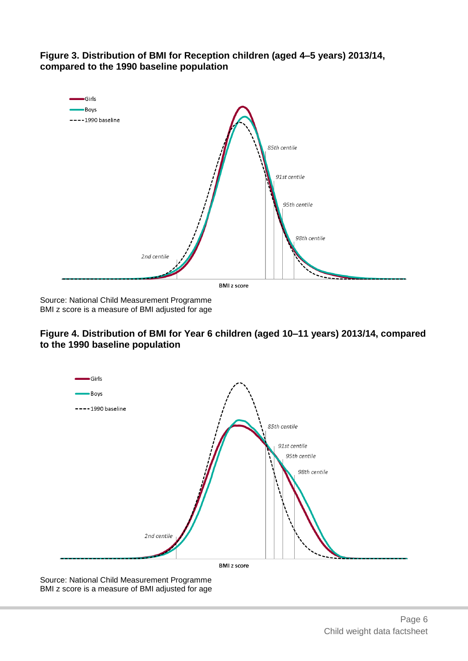



Source: National Child Measurement Programme BMI z score is a measure of BMI adjusted for age

### **Figure 4. Distribution of BMI for Year 6 children (aged 10–11 years) 2013/14, compared to the 1990 baseline population**



Source: National Child Measurement Programme BMI z score is a measure of BMI adjusted for age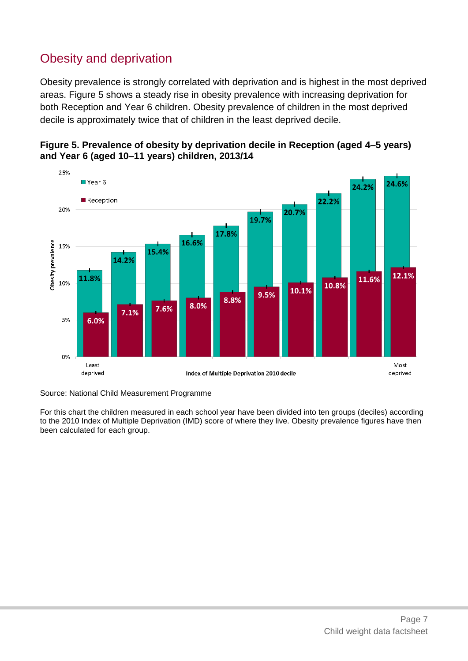# Obesity and deprivation

Obesity prevalence is strongly correlated with deprivation and is highest in the most deprived areas. Figure 5 shows a steady rise in obesity prevalence with increasing deprivation for both Reception and Year 6 children. Obesity prevalence of children in the most deprived decile is approximately twice that of children in the least deprived decile.





Source: National Child Measurement Programme

For this chart the children measured in each school year have been divided into ten groups (deciles) according to the 2010 Index of Multiple Deprivation (IMD) score of where they live. Obesity prevalence figures have then been calculated for each group.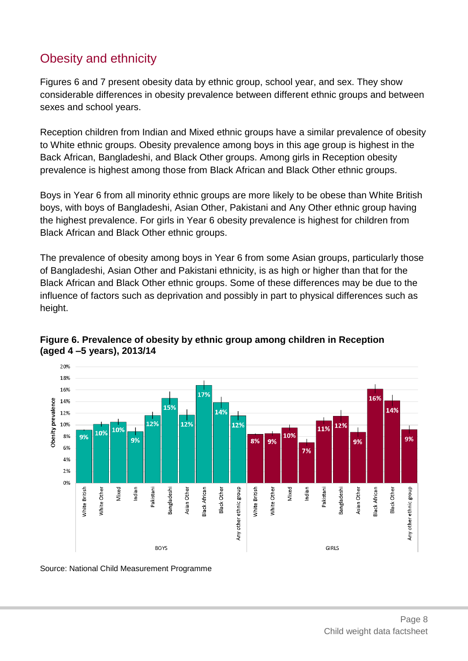# Obesity and ethnicity

Figures 6 and 7 present obesity data by ethnic group, school year, and sex. They show considerable differences in obesity prevalence between different ethnic groups and between sexes and school years.

Reception children from Indian and Mixed ethnic groups have a similar prevalence of obesity to White ethnic groups. Obesity prevalence among boys in this age group is highest in the Back African, Bangladeshi, and Black Other groups. Among girls in Reception obesity prevalence is highest among those from Black African and Black Other ethnic groups.

Boys in Year 6 from all minority ethnic groups are more likely to be obese than White British boys, with boys of Bangladeshi, Asian Other, Pakistani and Any Other ethnic group having the highest prevalence. For girls in Year 6 obesity prevalence is highest for children from Black African and Black Other ethnic groups.

The prevalence of obesity among boys in Year 6 from some Asian groups, particularly those of Bangladeshi, Asian Other and Pakistani ethnicity, is as high or higher than that for the Black African and Black Other ethnic groups. Some of these differences may be due to the influence of factors such as deprivation and possibly in part to physical differences such as height.



### **Figure 6. Prevalence of obesity by ethnic group among children in Reception (aged 4 –5 years), 2013/14**

Source: National Child Measurement Programme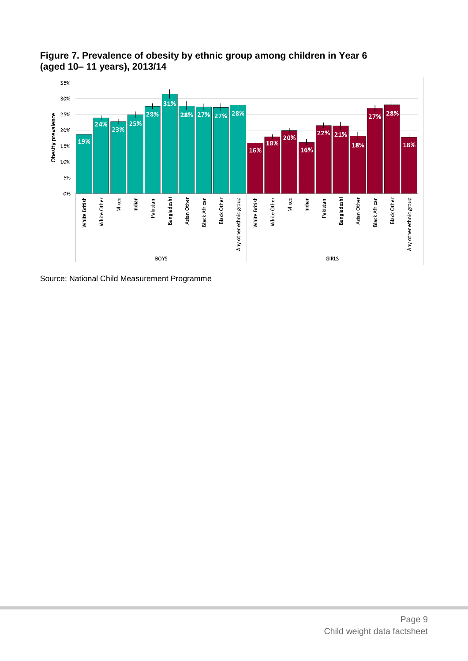**Figure 7. Prevalence of obesity by ethnic group among children in Year 6 (aged 10– 11 years), 2013/14**



Source: National Child Measurement Programme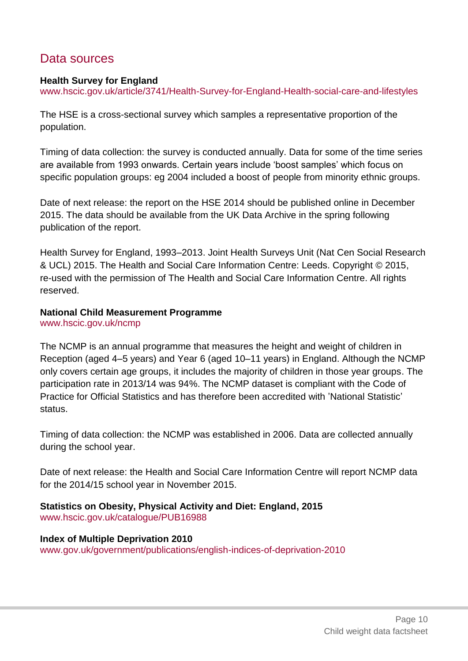## Data sources

### **Health Survey for England**

[www.hscic.gov.uk/article/3741/Health-Survey-for-England-Health-social-care-and-lifestyles](http://www.hscic.gov.uk/article/3741/Health-Survey-for-England-Health-social-care-and-lifestyles)

The HSE is a cross-sectional survey which samples a representative proportion of the population.

Timing of data collection: the survey is conducted annually. Data for some of the time series are available from 1993 onwards. Certain years include 'boost samples' which focus on specific population groups: eg 2004 included a boost of people from minority ethnic groups.

Date of next release: the report on the HSE 2014 should be published online in December 2015. The data should be available from the UK Data Archive in the spring following publication of the report.

Health Survey for England, 1993–2013. Joint Health Surveys Unit (Nat Cen Social Research & UCL) 2015. The Health and Social Care Information Centre: Leeds. Copyright © 2015, re-used with the permission of The Health and Social Care Information Centre. All rights reserved.

### **National Child Measurement Programme**

[www.hscic.gov.uk/ncmp](http://www.hscic.gov.uk/ncmp)

The NCMP is an annual programme that measures the height and weight of children in Reception (aged 4–5 years) and Year 6 (aged 10–11 years) in England. Although the NCMP only covers certain age groups, it includes the majority of children in those year groups. The participation rate in 2013/14 was 94%. The NCMP dataset is compliant with the Code of Practice for Official Statistics and has therefore been accredited with 'National Statistic' status.

Timing of data collection: the NCMP was established in 2006. Data are collected annually during the school year.

Date of next release: the Health and Social Care Information Centre will report NCMP data for the 2014/15 school year in November 2015.

**Statistics on Obesity, Physical Activity and Diet: England, 2015** [www.hscic.gov.uk/catalogue/PUB16988](http://www.hscic.gov.uk/catalogue/PUB16988)

**Index of Multiple Deprivation 2010** [www.gov.uk/government/publications/english-indices-of-deprivation-2010](https://www.gov.uk/government/publications/english-indices-of-deprivation-2010)